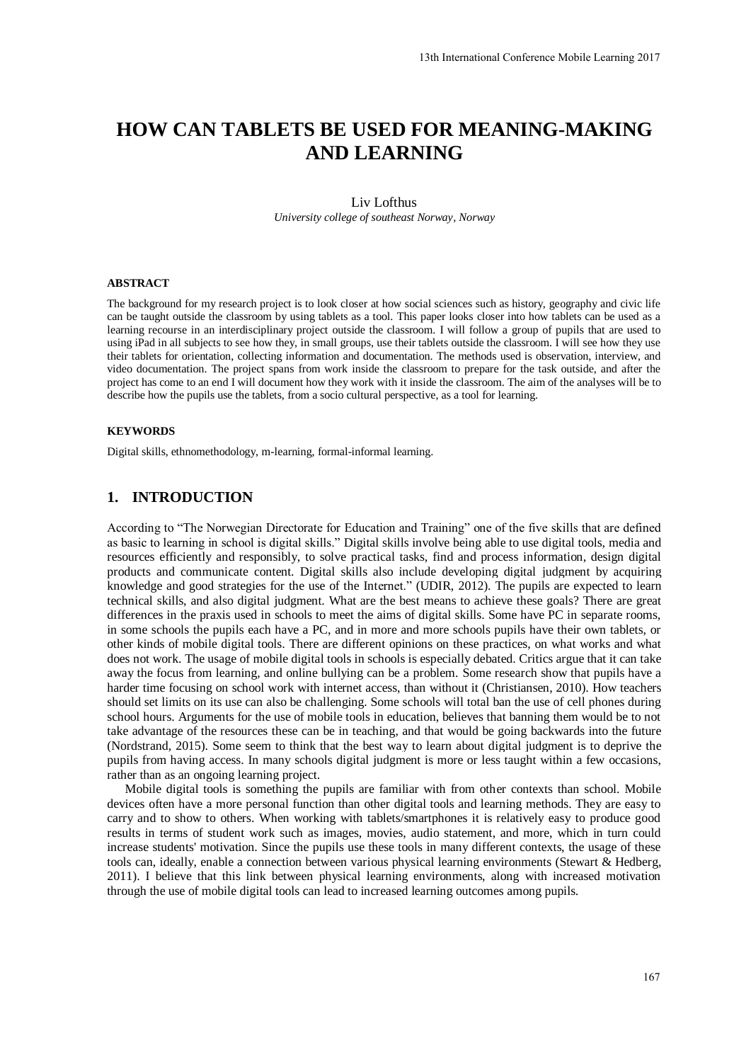# **HOW CAN TABLETS BE USED FOR MEANING-MAKING AND LEARNING**

#### Liv Lofthus *University college of southeast Norway, Norway*

#### **ABSTRACT**

The background for my research project is to look closer at how social sciences such as history, geography and civic life can be taught outside the classroom by using tablets as a tool. This paper looks closer into how tablets can be used as a learning recourse in an interdisciplinary project outside the classroom. I will follow a group of pupils that are used to using iPad in all subjects to see how they, in small groups, use their tablets outside the classroom. I will see how they use their tablets for orientation, collecting information and documentation. The methods used is observation, interview, and video documentation. The project spans from work inside the classroom to prepare for the task outside, and after the project has come to an end I will document how they work with it inside the classroom. The aim of the analyses will be to describe how the pupils use the tablets, from a socio cultural perspective, as a tool for learning.

#### **KEYWORDS**

Digital skills, ethnomethodology, m-learning, formal-informal learning.

# **1. INTRODUCTION**

According to "The Norwegian Directorate for Education and Training" one of the five skills that are defined as basic to learning in school is digital skills." Digital skills involve being able to use digital tools, media and resources efficiently and responsibly, to solve practical tasks, find and process information, design digital products and communicate content. Digital skills also include developing digital judgment by acquiring knowledge and good strategies for the use of the Internet." (UDIR, 2012). The pupils are expected to learn technical skills, and also digital judgment. What are the best means to achieve these goals? There are great differences in the praxis used in schools to meet the aims of digital skills. Some have PC in separate rooms, in some schools the pupils each have a PC, and in more and more schools pupils have their own tablets, or other kinds of mobile digital tools. There are different opinions on these practices, on what works and what does not work. The usage of mobile digital tools in schools is especially debated. Critics argue that it can take away the focus from learning, and online bullying can be a problem. Some research show that pupils have a harder time focusing on school work with internet access, than without it (Christiansen, 2010). How teachers should set limits on its use can also be challenging. Some schools will total ban the use of cell phones during school hours. Arguments for the use of mobile tools in education, believes that banning them would be to not take advantage of the resources these can be in teaching, and that would be going backwards into the future (Nordstrand, 2015). Some seem to think that the best way to learn about digital judgment is to deprive the pupils from having access. In many schools digital judgment is more or less taught within a few occasions, rather than as an ongoing learning project.

Mobile digital tools is something the pupils are familiar with from other contexts than school. Mobile devices often have a more personal function than other digital tools and learning methods. They are easy to carry and to show to others. When working with tablets/smartphones it is relatively easy to produce good results in terms of student work such as images, movies, audio statement, and more, which in turn could increase students' motivation. Since the pupils use these tools in many different contexts, the usage of these tools can, ideally, enable a connection between various physical learning environments (Stewart & Hedberg, 2011). I believe that this link between physical learning environments, along with increased motivation through the use of mobile digital tools can lead to increased learning outcomes among pupils.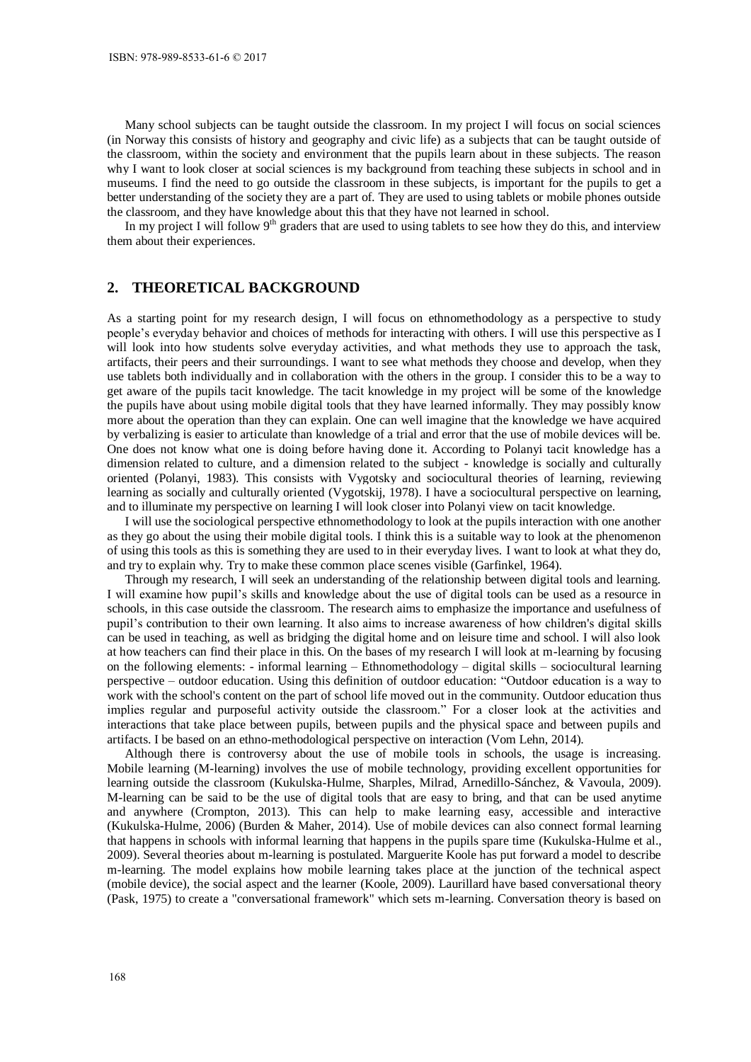Many school subjects can be taught outside the classroom. In my project I will focus on social sciences (in Norway this consists of history and geography and civic life) as a subjects that can be taught outside of the classroom, within the society and environment that the pupils learn about in these subjects. The reason why I want to look closer at social sciences is my background from teaching these subjects in school and in museums. I find the need to go outside the classroom in these subjects, is important for the pupils to get a better understanding of the society they are a part of. They are used to using tablets or mobile phones outside the classroom, and they have knowledge about this that they have not learned in school.

In my project I will follow  $9<sup>th</sup>$  graders that are used to using tablets to see how they do this, and interview them about their experiences.

# **2. THEORETICAL BACKGROUND**

As a starting point for my research design, I will focus on ethnomethodology as a perspective to study people's everyday behavior and choices of methods for interacting with others. I will use this perspective as I will look into how students solve everyday activities, and what methods they use to approach the task, artifacts, their peers and their surroundings. I want to see what methods they choose and develop, when they use tablets both individually and in collaboration with the others in the group. I consider this to be a way to get aware of the pupils tacit knowledge. The tacit knowledge in my project will be some of the knowledge the pupils have about using mobile digital tools that they have learned informally. They may possibly know more about the operation than they can explain. One can well imagine that the knowledge we have acquired by verbalizing is easier to articulate than knowledge of a trial and error that the use of mobile devices will be. One does not know what one is doing before having done it. According to Polanyi tacit knowledge has a dimension related to culture, and a dimension related to the subject - knowledge is socially and culturally oriented (Polanyi, 1983). This consists with Vygotsky and sociocultural theories of learning, reviewing learning as socially and culturally oriented (Vygotskij, 1978). I have a sociocultural perspective on learning, and to illuminate my perspective on learning I will look closer into Polanyi view on tacit knowledge.

I will use the sociological perspective ethnomethodology to look at the pupils interaction with one another as they go about the using their mobile digital tools. I think this is a suitable way to look at the phenomenon of using this tools as this is something they are used to in their everyday lives. I want to look at what they do, and try to explain why. Try to make these common place scenes visible (Garfinkel, 1964).

Through my research, I will seek an understanding of the relationship between digital tools and learning. I will examine how pupil's skills and knowledge about the use of digital tools can be used as a resource in schools, in this case outside the classroom. The research aims to emphasize the importance and usefulness of pupil's contribution to their own learning. It also aims to increase awareness of how children's digital skills can be used in teaching, as well as bridging the digital home and on leisure time and school. I will also look at how teachers can find their place in this. On the bases of my research I will look at m-learning by focusing on the following elements: - informal learning – Ethnomethodology – digital skills – sociocultural learning perspective – outdoor education. Using this definition of outdoor education: "Outdoor education is a way to work with the school's content on the part of school life moved out in the community. Outdoor education thus implies regular and purposeful activity outside the classroom." For a closer look at the activities and interactions that take place between pupils, between pupils and the physical space and between pupils and artifacts. I be based on an ethno-methodological perspective on interaction (Vom Lehn, 2014).

Although there is controversy about the use of mobile tools in schools, the usage is increasing. Mobile learning (M-learning) involves the use of mobile technology, providing excellent opportunities for learning outside the classroom (Kukulska-Hulme, Sharples, Milrad, Arnedillo-Sánchez, & Vavoula, 2009). M-learning can be said to be the use of digital tools that are easy to bring, and that can be used anytime and anywhere (Crompton, 2013). This can help to make learning easy, accessible and interactive (Kukulska-Hulme, 2006) (Burden & Maher, 2014). Use of mobile devices can also connect formal learning that happens in schools with informal learning that happens in the pupils spare time (Kukulska-Hulme et al., 2009). Several theories about m-learning is postulated. Marguerite Koole has put forward a model to describe m-learning. The model explains how mobile learning takes place at the junction of the technical aspect (mobile device), the social aspect and the learner (Koole, 2009). Laurillard have based conversational theory (Pask, 1975) to create a "conversational framework" which sets m-learning. Conversation theory is based on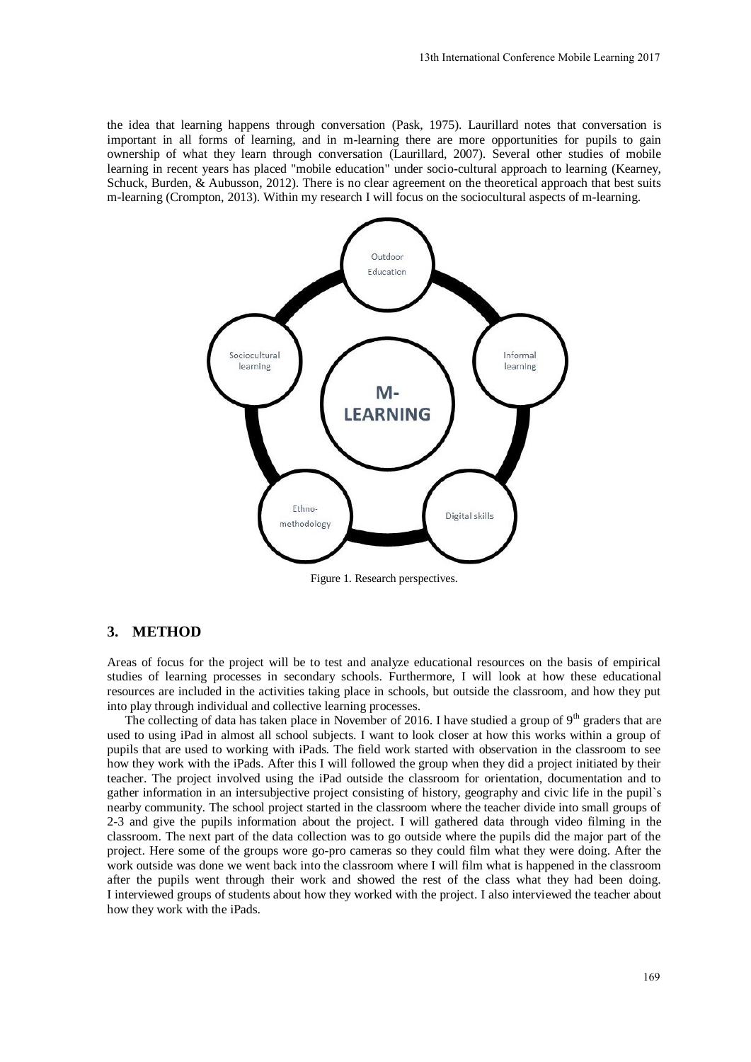the idea that learning happens through conversation (Pask, 1975). Laurillard notes that conversation is important in all forms of learning, and in m-learning there are more opportunities for pupils to gain ownership of what they learn through conversation (Laurillard, 2007). Several other studies of mobile learning in recent years has placed "mobile education" under socio-cultural approach to learning (Kearney, Schuck, Burden, & Aubusson, 2012). There is no clear agreement on the theoretical approach that best suits m-learning (Crompton, 2013). Within my research I will focus on the sociocultural aspects of m-learning.



Figure 1. Research perspectives.

#### **3. METHOD**

Areas of focus for the project will be to test and analyze educational resources on the basis of empirical studies of learning processes in secondary schools. Furthermore, I will look at how these educational resources are included in the activities taking place in schools, but outside the classroom, and how they put into play through individual and collective learning processes.

The collecting of data has taken place in November of 2016. I have studied a group of  $9<sup>th</sup>$  graders that are used to using iPad in almost all school subjects. I want to look closer at how this works within a group of pupils that are used to working with iPads. The field work started with observation in the classroom to see how they work with the iPads. After this I will followed the group when they did a project initiated by their teacher. The project involved using the iPad outside the classroom for orientation, documentation and to gather information in an intersubjective project consisting of history, geography and civic life in the pupil`s nearby community. The school project started in the classroom where the teacher divide into small groups of 2-3 and give the pupils information about the project. I will gathered data through video filming in the classroom. The next part of the data collection was to go outside where the pupils did the major part of the project. Here some of the groups wore go-pro cameras so they could film what they were doing. After the work outside was done we went back into the classroom where I will film what is happened in the classroom after the pupils went through their work and showed the rest of the class what they had been doing. I interviewed groups of students about how they worked with the project. I also interviewed the teacher about how they work with the iPads.